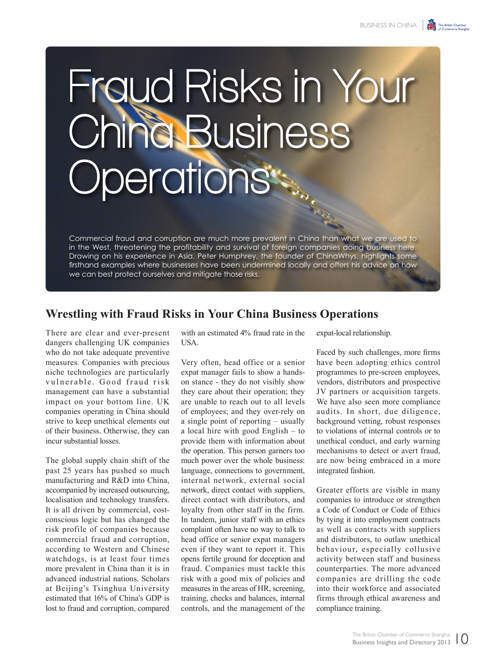## Fraud Risks in Your China Business perations<sup>®</sup>

Commercial fraud and corruption are much more prevalent in China than what we are used to in the West, threatening the profitability and survival of foreign companies doing business here. Drawing on his experience in Asia, Peter Humphrey, the founder of ChinaWhys, highlights some firsthand examples where businesses have been undermined locally and offers his advice on how we can best protect ourselves and mitigate those risks.

## **Wrestling with Fraud Risks in Your China Business Operations**

There are clear and ever-present dangers challenging UK companies who do not take adequate preventive measures. Companies with precious niche technologies are particularly vulnerable. Good fraud risk management can have a substantial impact on your bottom line. UK companies operating in China should strive to keep unethical elements out of their business. Otherwise, they can incur substantial losses.

The global supply chain shift of the past 25 years has pushed so much manufacturing and R&D into China, accompanied by increased outsourcing, localisation and technology transfers. It is all driven by commercial, costconscious logic but has changed the risk profile of companies because commercial fraud and corruption, according to Western and Chinese watchdogs, is at least four times more prevalent in China than it is in advanced industrial nations. Scholars at Beijing's Tsinghua University estimated that 16% of China's GDP is lost to fraud and corruption, compared

with an estimated 4% fraud rate in the **I** ISA.

Very often, head office or a senior expat manager fails to show a handson stance - they do not visibly show they care about their operation; they are unable to reach out to all levels of employees; and they over-rely on a single point of reporting – usually a local hire with good English – to provide them with information about the operation. This person garners too much power over the whole business: language, connections to government, internal network, external social network, direct contact with suppliers, direct contact with distributors, and loyalty from other staff in the firm. In tandem, junior staff with an ethics complaint often have no way to talk to head office or senior expat managers even if they want to report it. This opens fertile ground for deception and fraud. Companies must tackle this risk with a good mix of policies and measures in the areas of HR, screening, training, checks and balances, internal controls, and the management of the expat-local relationship.

Faced by such challenges, more firms have been adopting ethics control programmes to pre-screen employees, vendors, distributors and prospective JV partners or acquisition targets. We have also seen more compliance audits. In short, due diligence, background vetting, robust responses to violations of internal controls or to unethical conduct, and early warning mechanisms to detect or avert fraud, are now being embraced in a more integrated fashion.

Greater efforts are visible in many companies to introduce or strengthen a Code of Conduct or Code of Ethics by tying it into employment contracts as well as contracts with suppliers and distributors, to outlaw unethical behaviour, especially collusive activity between staff and business counterparties. The more advanced companies are drilling the code into their workforce and associated firms through ethical awareness and compliance training.